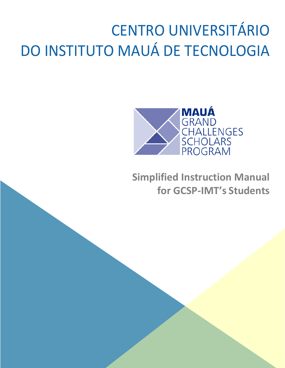# CENTRO UNIVERSITÁRIO DO INSTITUTO MAUÁ DE TECNOLOGIA



**Simplified Instruction Manual for GCSP-IMT's Students**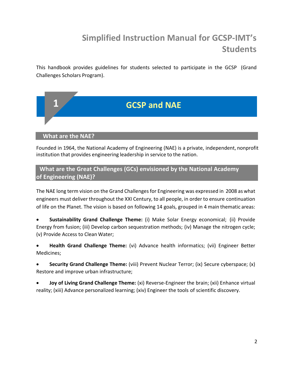# **Simplified Instruction Manual for GCSP-IMT's Students**

This handbook provides guidelines for students selected to participate in the GCSP (Grand Challenges Scholars Program).



**What are the NAE?**

Founded in 1964, the National Academy of Engineering (NAE) is a private, independent, nonprofit institution that provides engineering leadership in service to the nation.

# **What are the Great Challenges (GCs) envisioned by the National Academy of Engineering (NAE)?**

The NAE long term vision on the Grand Challenges for Engineering was expressed in 2008 as what engineers must deliver throughout the XXI Century, to all people, in order to ensure continuation of life on the Planet. The vision is based on following 14 goals, grouped in 4 main thematic areas:

• **Sustainability Grand Challenge Theme:** (i) Make Solar Energy economical; (ii) Provide Energy from fusion; (iii) Develop carbon sequestration methods; (iv) Manage the nitrogen cycle; (v) Provide Access to Clean Water;

• **Health Grand Challenge Theme:** (vi) Advance health informatics; (vii) Engineer Better Medicines;

• **Security Grand Challenge Theme:** (viii) Prevent Nuclear Terror; (ix) Secure cyberspace; (x) Restore and improve urban infrastructure;

• **Joy of Living Grand Challenge Theme:** (xi) Reverse-Engineer the brain; (xii) Enhance virtual reality; (xiii) Advance personalized learning; (xiv) Engineer the tools of scientific discovery.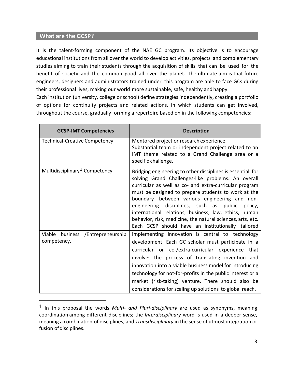# **What are the GCSP?**

It is the talent-forming component of the NAE GC program. Its objective is to encourage educational institutions from all over the world to develop activities, projects and complementary studies aiming to train their students through the acquisition of skills that can be used for the benefit of society and the common good all over the planet. The ultimate aim is that future engineers, designers and administrators trained under this program are able to face GCs during their professional lives, making our world more sustainable, safe, healthy and happy.

Each institution (university, college or school) define strategies independently, creating a portfolio of options for continuity projects and related actions, in which students can get involved, throughout the course, gradually forming a repertoire based on in the following competencies:

| <b>GCSP-IMT Competencies</b>                        | <b>Description</b>                                                                                                                                                                                                                                                                                                                                                                                                                                                                                                |
|-----------------------------------------------------|-------------------------------------------------------------------------------------------------------------------------------------------------------------------------------------------------------------------------------------------------------------------------------------------------------------------------------------------------------------------------------------------------------------------------------------------------------------------------------------------------------------------|
| <b>Technical-Creative Competency</b>                | Mentored project or research experience.<br>Substantial team or independent project related to an<br>IMT theme related to a Grand Challenge area or a<br>specific challenge.                                                                                                                                                                                                                                                                                                                                      |
| Multidisciplinary <sup>1</sup> Competency           | Bridging engineering to other disciplines is essential for<br>solving Grand Challenges-like problems. An overall<br>curricular as well as co- and extra-curricular program<br>must be designed to prepare students to work at the<br>boundary between various engineering and non-<br>engineering disciplines, such as public policy,<br>international relations, business, law, ethics, human<br>behavior, risk, medicine, the natural sciences, arts, etc.<br>Each GCSP should have an institutionally tailored |
| Viable<br>business /Entrepreneurship<br>competency. | Implementing innovation is central to technology<br>development. Each GC scholar must participate in a<br>curricular or co-/extra-curricular experience that<br>involves the process of translating invention and<br>innovation into a viable business model for introducing<br>technology for not-for-profits in the public interest or a<br>market (risk-taking) venture. There should also be<br>considerations for scaling up solutions to global reach.                                                      |

<sup>1</sup> In this proposal the words *Multi- and Pluri-disciplinary* are used as synonyms, meaning coordination among different disciplines; the *Interdisciplinary* word is used in a deeper sense, meaning a combination of disciplines, and *Transdisciplinary* in the sense of utmost integration or fusion of disciplines.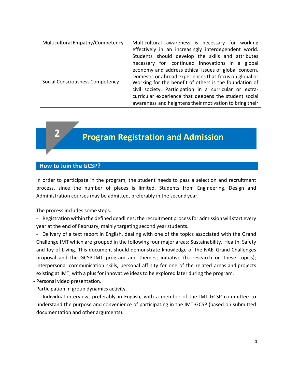| Multicultural Empathy/Competency | Multicultural awareness is necessary for working<br>effectively in an increasingly interdependent world.<br>Students should develop the skills and attributes<br>necessary for continued innovations in a global<br>economy and address ethical issues of global concern.<br>Domestic or abroad experiences that focus on global or |
|----------------------------------|-------------------------------------------------------------------------------------------------------------------------------------------------------------------------------------------------------------------------------------------------------------------------------------------------------------------------------------|
| Social Consciousness Competency  | Working for the benefit of others is the foundation of<br>civil society. Participation in a curricular or extra-<br>curricular experience that deepens the student social<br>awareness and heightens their motivation to bring their                                                                                                |



# **Program Registration and Admission**

# **How to Join the GCSP?**

In order to participate in the program, the student needs to pass a selection and recruitment process, since the number of places is limited. Students from Engineering, Design and Administration courses may be admitted, preferably in the secondyear.

The process includes some steps.

- Registration within the defined deadlines; the recruitment process for admission will start every year at the end of February, mainly targeting second year students.

- Delivery of a text report in English, dealing with one of the topics associated with the Grand Challenge IMT which are grouped in the following four major areas: Sustainability, Health, Safety and Joy of Living. This document should demonstrate knowledge of the NAE Grand Challenges proposal and the GCSP-IMT program and themes; initiative (to research on these topics); interpersonal communication skills, personal affinity for one of the related areas and projects existing at IMT, with a plus for innovative ideas to be explored later during the program.

- Personal video presentation.
- Participation in group dynamics activity.

- Individual interview, preferably in English, with a member of the IMT-GCSP committee to understand the purpose and convenience of participating in the IMT-GCSP (based on submitted documentation and other arguments).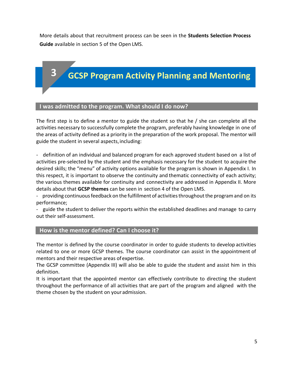More details about that recruitment process can be seen in the **Students Selection Process Guide** available in section 5 of the Open LMS.

# **GCSP Program Activity Planning and Mentoring**

# **I was admitted to the program. What should I do now?**

The first step is to define a mentor to guide the student so that he / she can complete all the activities necessary to successfully complete the program, preferably having knowledge in one of the areas of activity defined as a priority in the preparation of the work proposal. The mentor will guide the student in several aspects,including:

- definition of an individual and balanced program for each approved student based on a list of activities pre-selected by the student and the emphasis necessary for the student to acquire the desired skills; the "menu" of activity options available for the program is shown in Appendix I. In this respect, it is important to observe the continuity and thematic connectivity of each activity; the various themes available for continuity and connectivity are addressed in Appendix II. More details about that **GCSP themes** can be seen in section 4 of the Open LMS.

- providing continuousfeedback on the fulfillment of activitiesthroughoutthe programand on its performance;

- guide the student to deliver the reports within the established deadlines and manage to carry out their self-assessment.

# **How is the mentor defined? Can I choose it?**

The mentor is defined by the course coordinator in order to guide students to develop activities related to one or more GCSP themes. The course coordinator can assist in the appointment of mentors and their respective areas of expertise.

The GCSP committee (Appendix III) will also be able to guide the student and assist him in this definition.

It is important that the appointed mentor can effectively contribute to directing the student throughout the performance of all activities that are part of the program and aligned with the theme chosen by the student on your admission.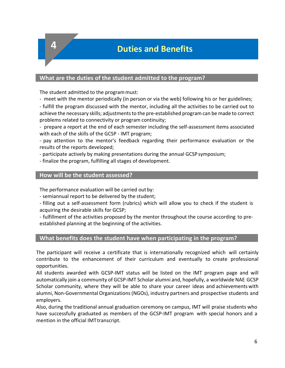**Duties and Benefits 4**

# **What are the duties of the student admitted to the program?**

The student admitted to the program must:

- meet with the mentor periodically (in person or via the web) following his or her guidelines;

- fulfill the program discussed with the mentor, including all the activities to be carried out to achieve the necessary skills; adjustments to the pre-established program can be made to correct problems related to connectivity or program continuity;

- prepare a report at the end of each semester including the self-assessment items associated with each of the skills of the GCSP - IMT program;

- pay attention to the mentor's feedback regarding their performance evaluation or the results of the reports developed;

- participate actively by making presentations during the annual GCSP symposium;

- finalize the program, fulfilling all stages of development.

# **How will be the student assessed?**

The performance evaluation will be carried out by:

- semiannual report to be delivered by the student;

- filling out a self-assessment form (rubrics) which will allow you to check if the student is acquiring the desirable skills for GCSP;

- fulfillment of the activities proposed by the mentor throughout the course according to preestablished planning at the beginning of the activities.

# **What benefits does the student have when participating in the program?**

The participant will receive a certificate that is internationally recognized which will certainly contribute to the enhancement of their curriculum and eventually to create professional opportunities.

All students awarded with GCSP-IMT status will be listed on the IMT program page and will automatically join a community of GCSP-IMT Scholar alumni and, hopefully, a worldwide NAE GCSP Scholar community, where they will be able to share your career ideas and achievements with alumni, Non-Governmental Organizations(NGOs), industry partners and prospective students and employers.

Also, during the traditional annual graduation ceremony on campus, IMT will praise students who have successfully graduated as members of the GCSP-IMT program with special honors and a mention in the official IMT transcript.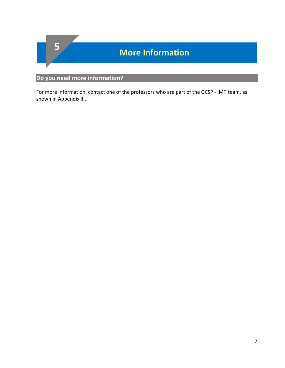

# **Do you need more information?**

For more information, contact one of the professors who are part of the GCSP - IMT team, as shown in Appendix III.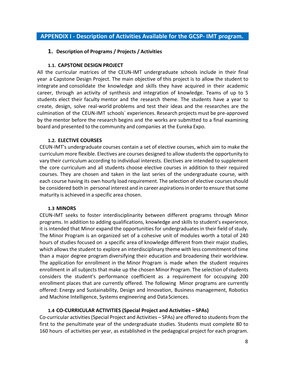# **APPENDIX I - Description of Activities Available for the GCSP- IMT program.**

# **1. Description of Programs / Projects / Activities**

# **1.1. CAPSTONE DESIGN PROJECT**

All the curricular matrices of the CEUN-IMT undergraduate schools include in their final year a Capstone Design Project. The main objective of this project is to allow the student to integrate and consolidate the knowledge and skills they have acquired in their academic career, through an activity of synthesis and integration of knowledge. Teams of up to 5 students elect their faculty mentor and the research theme. The students have a year to create, design, solve real-world problems and test their ideas and the researches are the culmination of the CEUN-IMT schools´ experiences. Research projects must be pre-approved by the mentor before the research begins and the works are submitted to a final examining board and presented to the community and companies at the Eureka Expo.

# **1.2. ELECTIVE COURSES**

CEUN-IMT's undergraduate courses contain a set of elective courses, which aim to make the curriculum more flexible. Electives are courses designed to allow students the opportunity to vary their curriculum according to individual interests. Electives are intended to supplement the core curriculum and all students choose elective courses in addition to their required courses. They are chosen and taken in the last series of the undergraduate course, with each course having its own hourly load requirement. The selection of elective courses should be considered both in personal interest and in career aspirations in order to ensure that some maturity is achieved in a specific area chosen.

# **1.3 MINORS**

CEUN-IMT seeks to foster interdisciplinarity between different programs through Minor programs. In addition to adding qualifications, knowledge and skills to student's experience, it is intended that Minor expand the opportunities for undergraduates in their field of study. The Minor Program is an organized set of a cohesive unit of modules worth a total of 240 hours of studies focused on a specific area of knowledge different from their major studies, which allows the student to explore an interdisciplinary theme with less commitment of time than a major degree program diversifying their education and broadening their worldview. The application for enrollment in the Minor Program is made when the student requires enrollment in all subjects that make up the chosen Minor Program. The selection of students considers the student's performance coefficient as a requirement for occupying 200 enrollment places that are currently offered. The following Minor programs are currently offered: Energy and Sustainability, Design and Innovation, Business management, Robotics and Machine Intelligence, Systems engineering and Data Sciences.

# **1.4 CO-CURRICULAR ACTIVITIES (Special Project and Activities – SPAs)**

Co-curricular activities (Special Project and Activities – SPAs) are offered to students from the first to the penultimate year of the undergraduate studies. Students must complete 80 to 160 hours of activities per year, as established in the pedagogical project for each program.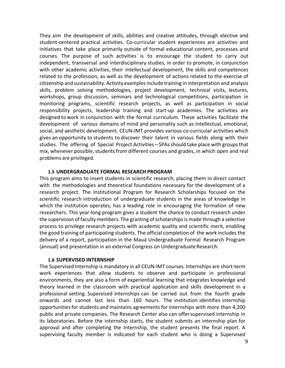They aim the development of skills, abilities and creative attitudes, through elective and student-centered practical activities. Co-curricular student experiences are activities and initiatives that take place primarily outside of formal educational content, processes and courses. The purpose of such activities is to encourage the student to carry out independent, transversal and interdisciplinary studies, in order to promote, in conjunction with other academic activities, their intellectual development, the skills and competences related to the profession, as well as the development of actions related to the exercise of citizenship and sustainability. Activity examplesinclude training in interpretation and analysis skills, problem solving methodologies, project development, technical visits, lectures, workshops, group discussion, seminars and technological competitions, participation in monitoring programs, scientific research projects, as well as participation in social responsibility projects, leadership training and start-up academies. The activities are designed to work in conjunction with the formal curriculum. These activities facilitate the development of various domains of mind and personality such as intellectual, emotional, social, and aesthetic development. CEUN-IMT provides various co-curricular activities which gives an opportunity to students to discover their talent in various fields along with their studies. The offering of Special Project Activities – SPAs should take place with groups that mix, whenever possible, students from different courses and grades, in which open and real problems are privileged.

#### **1.5 UNDERGRADUATE FORMAL RESEARCH PROGRAM**

This program aims to insert students in scientific research, placing them in direct contact with the methodologies and theoretical foundations necessary for the development of a research project. The Institutional Program for Research Scholarships focused on the scientific research introduction of undergraduate students in the areas of knowledge in which the institution operates, has a leading role in encouraging the formation of new researchers. This year-long program gives a student the chance to conduct research under the supervision of faculty members. The granting of scholarships is made through a selective process to privilege research projects with academic quality and scientific merit, enabling the good training of participating students. The official completion of the work includes the delivery of a report, participation in the Mauá Undergraduate Formal Research Program (annual) and presentation in an external Congress on Undergraduate Research.

#### **1.6 SUPERVISED INTERNSHIP**

The Supervised Internship is mandatory in all CEUN-IMT courses. Internships are short-term work experiences that allow students to observe and participate in professional environments, they are also a form of experiential learning that integrates knowledge and theory learned in the classroom with practical application and skills development in a professional setting. Supervised internships can be carried out from the fourth grade onwards and cannot last less than 160 hours. The institution identifies internship opportunities for students and maintains agreements for internships with more than 4,200 public and private companies. The Research Center also can offersupervised internship in its laboratories. Before the internship starts, the student submits an internship plan for approval and after completing the Internship, the student presents the final report. A supervising faculty member is indicated for each student who is doing a Supervised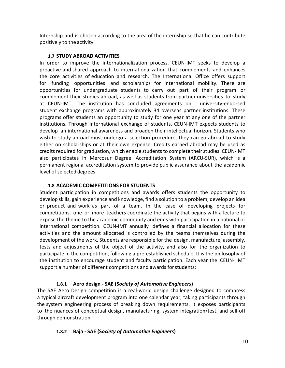Internship and is chosen according to the area of the internship so that he can contribute positively to the activity.

# **1.7 STUDY ABROAD ACTIVITIES**

In order to improve the internationalization process, CEUN-IMT seeks to develop a proactive and shared approach to internationalization that complements and enhances the core activities of education and research. The International Office offers support for funding opportunities and scholarships for international mobility. There are opportunities for undergraduate students to carry out part of their program or complement their studies abroad, as well as students from partner universities to study at CEUN-IMT. The institution has concluded agreements on university-endorsed student exchange programs with approximately 34 overseas partner institutions. These programs offer students an opportunity to study for one year at any one of the partner institutions. Through international exchange of students, CEUN-IMT expects students to develop an international awareness and broaden their intellectual horizon. Students who wish to study abroad must undergo a selection procedure, they can go abroad to study either on scholarships or at their own expense. Credits earned abroad may be used as credits required for graduation, which enable students to complete their studies. CEUN-IMT also participates in Mercosur Degree Accreditation System (ARCU-SUR), which is a permanent regional accreditation system to provide public assurance about the academic level of selected degrees.

# **1.8 ACADEMIC COMPETITIONS FOR STUDENTS**

Student participation in competitions and awards offers students the opportunity to develop skills, gain experience and knowledge, find a solution to a problem, develop an idea or product and work as part of a team. In the case of developing projects for competitions, one or more teachers coordinate the activity that begins with a lecture to expose the theme to the academic community and ends with participation in a national or international competition. CEUN-IMT annually defines a financial allocation for these activities and the amount allocated is controlled by the teams themselves during the development of the work. Students are responsible for the design, manufacture, assembly, tests and adjustments of the object of the activity, and also for the organization to participate in the competition, following a pre-established schedule. It is the philosophy of the institution to encourage student and faculty participation. Each year the CEUN- IMT support a number of different competitions and awards forstudents:

# **1.8.1 Aero design - SAE (S***ociety of Automotive Engineers***)**

The SAE Aero Design competition is a real-world design challenge designed to compress a typical aircraft development program into one calendar year, taking participants through the system engineering process of breaking down requirements. It exposes participants to the nuances of conceptual design, manufacturing, system integration/test, and sell-off through demonstration.

# **1.8.2 Baja - SAE (S***ociety of Automotive Engineers***)**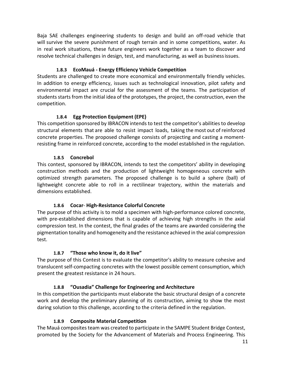Baja SAE challenges engineering students to design and build an off-road vehicle that will survive the severe punishment of rough terrain and in some competitions, water. As in real work situations, these future engineers work together as a team to discover and resolve technical challenges in design, test, and manufacturing, as well as businessissues.

# **1.8.3 EcoMauá - Energy Efficiency Vehicle Competition**

Students are challenged to create more economical and environmentally friendly vehicles. In addition to energy efficiency, issues such as technological innovation, pilot safety and environmental impact are crucial for the assessment of the teams. The participation of students starts from the initial idea of the prototypes, the project, the construction, even the competition.

# **1.8.4 Egg Protection Equipment (EPE)**

This competition sponsored by IBRACON intends to test the competitor's abilities to develop structural elements that are able to resist impact loads, taking the most out of reinforced concrete properties. The proposed challenge consists of projecting and casting a momentresisting frame in reinforced concrete, according to the model established in the regulation.

# **1.8.5 Concrebol**

This contest, sponsored by IBRACON, intends to test the competitors' ability in developing construction methods and the production of lightweight homogeneous concrete with optimized strength parameters. The proposed challenge is to build a sphere (ball) of lightweight concrete able to roll in a rectilinear trajectory, within the materials and dimensions established.

# **1.8.6 Cocar**- **High-Resistance Colorful Concrete**

The purpose of this activity is to mold a specimen with high-performance colored concrete, with pre-established dimensions that is capable of achieving high strengths in the axial compression test. In the contest, the final grades of the teams are awarded considering the pigmentation tonality and homogeneity and the resistance achieved in the axial compression test.

# **1.8.7 "Those who know it, do it live"**

The purpose of this Contest is to evaluate the competitor's ability to measure cohesive and translucent self-compacting concretes with the lowest possible cement consumption, which present the greatest resistance in 24 hours.

# **1.8.8 "Ousadia" Challenge for Engineering and Architecture**

In this competition the participants must elaborate the basic structural design of a concrete work and develop the preliminary planning of its construction, aiming to show the most daring solution to this challenge, according to the criteria defined in the regulation.

# **1.8.9 Composite Material Competition**

The Mauá composites team was created to participate in the SAMPE Student Bridge Contest, promoted by the Society for the Advancement of Materials and Process Engineering. This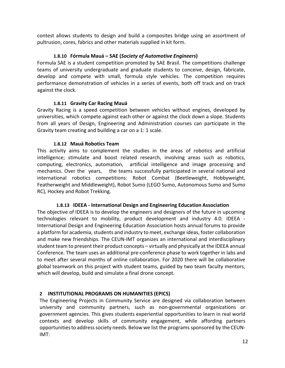contest allows students to design and build a composites bridge using an assortment of pultrusion, cores, fabrics and other materials supplied in kit form.

# **1.8.10 Fórmula Mauá – SAE (***Society of Automotive Engineers***)**

Formula SAE is a student competition promoted by SAE Brasil. The competitions challenge teams of university undergraduate and graduate students to conceive, design, fabricate, develop and compete with small, formula style vehicles. The competition requires performance demonstration of vehicles in a series of events, both off track and on track against the clock.

# **1.8.11 Gravity Car Racing Mauá**

Gravity Racing is a speed competition between vehicles without engines, developed by universities, which compete against each other or against the clock down a slope. Students from all years of Design, Engineering and Administration courses can participate in the Gravity team creating and building a car on a 1: 1 scale.

# **1.8.12 Mauá Robotics Team**

This activity aims to complement the studies in the areas of robotics and artificial intelligence; stimulate and boost related research, involving areas such as robotics, computing, electronics, automation, artificial intelligence and image processing and mechanics. Over the years, the teams successfully participated in several national and international robotics competitions: Robot Combat (Beetleweight, Hobbyweight, Featherweight and Middleweight), Robot Sumo (LEGO Sumo, Autonomous Sumo and Sumo RC), Hockey and Robot Trekking.

# **1.8.13 IDEEA - International Design and Engineering Education Association**

The objective of IDEEA is to develop the engineers and designers of the future in upcoming technologies relevant to mobility, product development and industry 4.0. IDEEA - International Design and Engineering Education Association hosts annual forums to provide a platform for academia, students and industry to meet, exchange ideas, foster collaboration and make new friendships. The CEUN-IMT organizes an international and interdisciplinary student team to present their product concepts – virtually and physically at the IDEEA annual Conference. The team uses an additional pre-conference phase to work together in labs and to meet after several months of online collaboration. For 2020 there will be collaborative global teamwork on this project with student teams, guided by two team faculty mentors, which will develop, build and simulate a final drone concept.

# **2 INSTITUTIONAL PROGRAMS ON HUMANITIES (EPICS)**

The Engineering Projects in Community Service are designed via collaboration between university and community partners, such as non-governmental organizations or government agencies. This gives students experiential opportunities to learn in real world contexts and develop skills of community engagement, while affording partners opportunities to address society needs. Below we list the programs sponsored by the CEUN-IMT: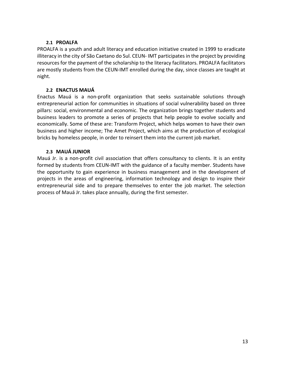# **2.1 PROALFA**

PROALFA is a youth and adult literacy and education initiative created in 1999 to eradicate illiteracy in the city of São Caetano do Sul. CEUN- IMT participates in the project by providing resources for the payment of the scholarship to the literacy facilitators. PROALFA facilitators are mostly students from the CEUN-IMT enrolled during the day, since classes are taught at night.

# **2.2 ENACTUS MAUÁ**

Enactus Mauá is a non-profit organization that seeks sustainable solutions through entrepreneurial action for communities in situations of social vulnerability based on three pillars: social, environmental and economic. The organization brings together students and business leaders to promote a series of projects that help people to evolve socially and economically. Some of these are: Transform Project, which helps women to have their own business and higher income; The Amet Project, which aims at the production of ecological bricks by homeless people, in order to reinsert them into the current job market.

# **2.3 MAUÁ JUNIOR**

Mauá Jr. is a non-profit civil association that offers consultancy to clients. It is an entity formed by students from CEUN-IMT with the guidance of a faculty member. Students have the opportunity to gain experience in business management and in the development of projects in the areas of engineering, information technology and design to inspire their entrepreneurial side and to prepare themselves to enter the job market. The selection process of Mauá Jr. takes place annually, during the first semester.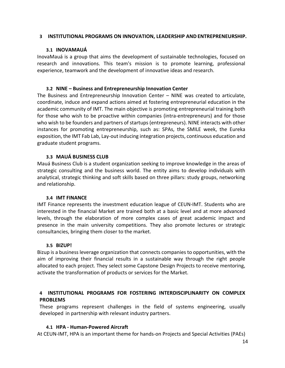#### **3 INSTITUTIONAL PROGRAMS ON INNOVATION, LEADERSHIP AND ENTREPRENEURSHIP.**

# **3.1 INOVAMAUÁ**

InovaMauá is a group that aims the development of sustainable technologies, focused on research and innovations. This team's mission is to promote learning, professional experience, teamwork and the development of innovative ideas and research.

# **3.2 NINE – Business and Entrepreneurship Innovation Center**

The Business and Entrepreneurship Innovation Center – NINE was created to articulate, coordinate, induce and expand actions aimed at fostering entrepreneurial education in the academic community of IMT. The main objective is promoting entrepreneurial training both for those who wish to be proactive within companies (intra-entrepreneurs) and for those who wish to be founders and partners of startups (entrepreneurs). NINE interacts with other instances for promoting entrepreneurship, such as: SPAs, the SMILE week, the Eureka exposition, the IMT Fab Lab, Lay-out inducing integration projects, continuous education and graduate student programs.

# **3.3 MAUÁ BUSINESS CLUB**

Mauá Business Club is a student organization seeking to improve knowledge in the areas of strategic consulting and the business world. The entity aims to develop individuals with analytical, strategic thinking and soft skills based on three pillars: study groups, networking and relationship.

# **3.4 IMT FINANCE**

IMT Finance represents the investment education league of CEUN-IMT. Students who are interested in the financial Market are trained both at a basic level and at more advanced levels, through the elaboration of more complex cases of great academic impact and presence in the main university competitions. They also promote lectures or strategic consultancies, bringing them closer to the market.

# **3.5 BIZUP!**

Bizup is a business leverage organization that connects companies to opportunities, with the aim of improving their financial results in a sustainable way through the right people allocated to each project. They select some Capstone Design Projects to receive mentoring, activate the transformation of products or services for the Market.

# **4 INSTITUTIONAL PROGRAMS FOR FOSTERING INTERDISCIPLINARITY ON COMPLEX PROBLEMS**

These programs represent challenges in the field of systems engineering, usually developed in partnership with relevant industry partners.

# **4.1 HPA - Human-Powered Aircraft**

At CEUN-IMT, HPA is an important theme for hands-on Projects and Special Activities (PAEs)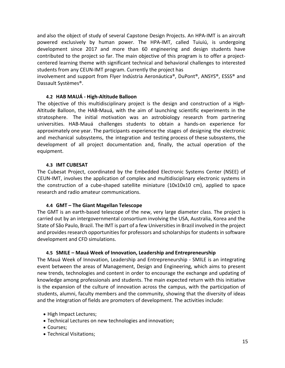and also the object of study of several Capstone Design Projects. An HPA-IMT is an aircraft powered exclusively by human power. The HPA-IMT, called Tuiuiú, is undergoing development since 2017 and more than 60 engineering and design students have contributed to the project so far. The main objective of this program is to offer a projectcentered learning theme with significant technical and behavioral challenges to interested students from any CEUN-IMT program. Currently the project has

involvement and support from Flyer Indústria Aeronáutica®, DuPont®, ANSYS®, ESSS® and Dassault Systèmes®.

# **4.2 HAB MAUÁ - High-Altitude Balloon**

The objective of this multidisciplinary project is the design and construction of a High-Altitude Balloon, the HAB-Mauá, with the aim of launching scientific experiments in the stratosphere. The initial motivation was an astrobiology research from partnering universities. HAB-Mauá challenges students to obtain a hands-on experience for approximately one year. The participants experience the stages of designing the electronic and mechanical subsystems, the integration and testing process of these subsystems, the development of all project documentation and, finally, the actual operation of the equipment.

# **4.3 IMT CUBESAT**

The Cubesat Project, coordinated by the Embedded Electronic Systems Center (NSEE) of CEUN-IMT, involves the application of complex and multidisciplinary electronic systems in the construction of a cube-shaped satellite miniature (10x10x10 cm), applied to space research and radio amateur communications.

# **4.4 GMT – The Giant Magellan Telescope**

The GMT is an earth-based telescope of the new, very large diameter class. The project is carried out by an intergovernmental consortium involving the USA, Australia, Korea and the State of São Paulo, Brazil. The IMT is part of a few Universitiesin Brazil involved in the project and provides research opportunities for professors and scholarships for students in software development and CFD simulations.

# **4.5 SMILE – Mauá Week of Innovation, Leadership and Entrepreneurship**

The Mauá Week of Innovation, Leadership and Entrepreneurship - SMILE is an integrating event between the areas of Management, Design and Engineering, which aims to present new trends, technologies and content in order to encourage the exchange and updating of knowledge among professionals and students. The main expected return with this initiative is the expansion of the culture of innovation across the campus, with the participation of students, alumni, faculty members and the community, showing that the diversity of ideas and the integration of fields are promoters of development. The activities include:

- High Impact Lectures;
- Technical Lectures on new technologies and innovation;
- Courses;
- Technical Visitations;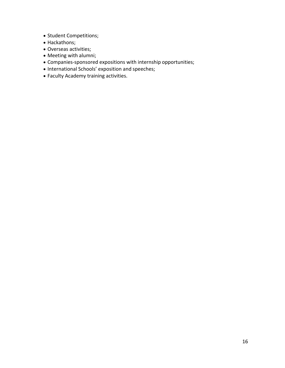- Student Competitions;
- Hackathons;
- Overseas activities;
- Meeting with alumni;
- Companies-sponsored expositions with internship opportunities;
- International Schools' exposition and speeches;
- Faculty Academy training activities.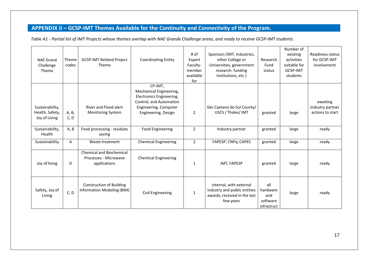# **APPENDIX II – GCSP-IMT Themes Available for the Continuity and Connectivity of the Program.**

*Table A1 - Partial list of IMT Projects whose themes overlap with NAE Grande Challenge areas, and ready to receive GCSP-IMT students.*

| <b>NAE Grand</b><br>Challenge<br>Theme              | Theme<br>codes | <b>GCSP-IMT Related Project</b><br><b>Theme</b>                          | <b>Coordinating Entity</b>                                                                                                                | # of<br>Expert<br>Faculty-<br>member<br>available<br>for | Sponsors (IMT, Industries,<br>other College or<br>Universities, government<br>research-funding<br>institutions, etc.) | Research<br>Fund<br>status                        | Number of<br>existing<br>activities<br>suitable for<br>GCSP-IMT<br>students | Readiness status<br>for GCSP-IMT<br>involvement  |
|-----------------------------------------------------|----------------|--------------------------------------------------------------------------|-------------------------------------------------------------------------------------------------------------------------------------------|----------------------------------------------------------|-----------------------------------------------------------------------------------------------------------------------|---------------------------------------------------|-----------------------------------------------------------------------------|--------------------------------------------------|
| Sustainability,<br>Health, Safety,<br>Joy of Living | A, B,<br>C, D  | River and Flood alert<br><b>Monitoring System</b>                        | CP-IMT,<br>Mechanical Engineering,<br>Electronics Engineering,<br>Control, and Automation<br>Engineering, Computer<br>Engineering, Design | $\overline{2}$                                           | São Caetano do Sul County/<br>USCS / Thales/ IMT                                                                      | granted                                           | large                                                                       | awaiting<br>Industry partner<br>actions to start |
| Sustainability,<br>Health                           | A, B           | Food processing - residues<br>saving                                     | <b>Food Engineering</b>                                                                                                                   | $\overline{2}$                                           | Industry partner                                                                                                      | granted                                           | large                                                                       | ready                                            |
| Sustainability                                      | A              | Waste treatment                                                          | <b>Chemical Engineering</b>                                                                                                               | $\overline{2}$                                           | FAPESP; CNPq; CAPES                                                                                                   | granted                                           | large                                                                       | ready                                            |
| Joy of living                                       | D              | <b>Chemical and Biochemical</b><br>Processes - Microwave<br>applications | <b>Chemical Engineering</b>                                                                                                               | 1                                                        | IMT, FAPESP                                                                                                           | granted                                           | large                                                                       | ready                                            |
| Safety, Joy of<br>Living                            | C, D           | <b>Construction of Building</b><br>Information Modeling (BIM)            | Civil Engineering                                                                                                                         | 1                                                        | internal, with external<br>industry and public entities<br>awards, received in the last<br>few years                  | all<br>hardware<br>and<br>software<br>infrastruct | large                                                                       | ready                                            |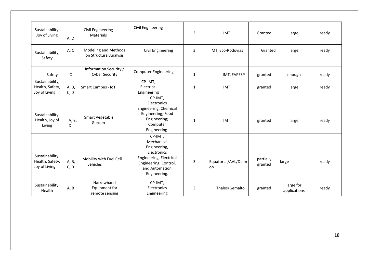| Sustainability,<br>Joy of Living                    | A, D          | Civil Engineering<br>Materials                  | <b>Civil Engineering</b>                                                                                                                   | 3            | <b>IMT</b>                | Granted              | large                     | ready |
|-----------------------------------------------------|---------------|-------------------------------------------------|--------------------------------------------------------------------------------------------------------------------------------------------|--------------|---------------------------|----------------------|---------------------------|-------|
| Sustainability,<br>Safety                           | A, C          | Modeling and Methods<br>on Structural Analysis  | Civil Engineering                                                                                                                          | 3            | IMT, Eco-Rodovias         | Granted              | large                     | ready |
| Safety                                              | $\mathsf{C}$  | Information Security /<br><b>Cyber Security</b> | <b>Computer Engineering</b>                                                                                                                | 1            | IMT, FAPESP               | granted              | enough                    | ready |
| Sustainability,<br>Health, Safety,<br>Joy of Living | A, B,<br>C, D | Smart Campus - IoT                              | CP-IMT,<br>Electrical<br>Engineering                                                                                                       | $\mathbf{1}$ | <b>IMT</b>                | granted              | large                     | ready |
| Sustainability,<br>Health, Joy of<br>Living         | A, B,<br>D    | Smart Vegetable<br>Garden                       | CP-IMT,<br>Electronics<br>Engineering, Chemical<br>Engineering; Food<br>Engineering;<br>Computer<br>Engineering.                           | $\mathbf{1}$ | <b>IMT</b>                | granted              | large                     | ready |
| Sustainability,<br>Health, Safety,<br>Joy of Living | A, B,<br>C, D | Mobility with Fuel Cell<br>vehicles             | CP-IMT,<br>Mechanical<br>Engineering,<br>Electronics<br>Engineering, Electrical<br>Engineering, Control,<br>and Automation<br>Engineering. | 3            | Equatorial/AVL/Daim<br>on | partially<br>granted | large                     | ready |
| Sustainability,<br>Health                           | A, B          | Narrowband<br>Equipment for<br>remote sensing   | CP-IMT,<br>Electronics<br>Engineering                                                                                                      | 3            | Thales/Gemalto            | granted              | large for<br>applications | ready |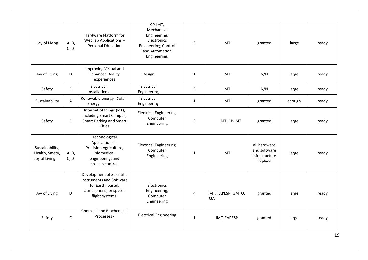| Joy of Living                                       | A, B,<br>C, D | Hardware Platform for<br>Web lab Applications -<br><b>Personal Education</b>                                           | CP-IMT,<br>Mechanical<br>Engineering,<br>Electronics<br>Engineering, Control<br>and Automation<br>Engineering. | 3            | <b>IMT</b>                       | granted                                                    | large  | ready |
|-----------------------------------------------------|---------------|------------------------------------------------------------------------------------------------------------------------|----------------------------------------------------------------------------------------------------------------|--------------|----------------------------------|------------------------------------------------------------|--------|-------|
| Joy of Living                                       | D             | Improving Virtual and<br><b>Enhanced Reality</b><br>experiences                                                        | Design                                                                                                         | $\mathbf{1}$ | <b>IMT</b>                       | N/N                                                        | large  | ready |
| Safety                                              | $\mathsf C$   | Electrical<br>Installations                                                                                            | Electrical<br>Engineering                                                                                      | 3            | <b>IMT</b>                       | N/N                                                        | large  | ready |
| Sustainability                                      | A             | Renewable energy - Solar<br>Energy                                                                                     | Electrical<br>Engineering                                                                                      | $\mathbf{1}$ | IMT                              | granted                                                    | enough | ready |
| Safety                                              | $\mathsf C$   | Internet of things (IoT),<br>including Smart Campus,<br>Smart Parking and Smart<br><b>Cities</b>                       | <b>Electrical Engineering,</b><br>Computer<br>Engineering                                                      | 3            | IMT, CP-IMT                      | granted                                                    | large  | ready |
| Sustainability,<br>Health, Safety,<br>Joy of Living | A, B,<br>C, D | Technological<br>Applications in<br>Precision Agriculture,<br>biomedical<br>engineering, and<br>process control.       | <b>Electrical Engineering,</b><br>Computer<br>Engineering                                                      | $\mathbf{1}$ | <b>IMT</b>                       | all hardware<br>and software<br>infrastructure<br>in place | large  | ready |
| Joy of Living                                       | D             | Development of Scientific<br>Instruments and Software<br>for Earth-based,<br>atmospheric, or space-<br>flight systems. | Electronics<br>Engineering,<br>Computer<br>Engineering                                                         | 4            | IMT, FAPESP, GMTO,<br><b>ESA</b> | granted                                                    | large  | ready |
| Safety                                              | $\mathsf{C}$  | <b>Chemical and Biochemical</b><br>Processes -                                                                         | <b>Electrical Engineering</b>                                                                                  | $\mathbf{1}$ | IMT, FAPESP                      | granted                                                    | large  | ready |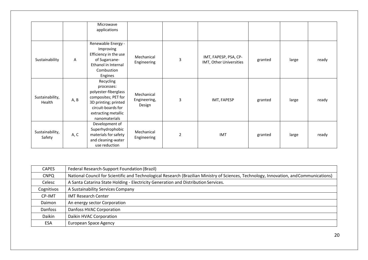|                           |              | Microwave<br>applications                                                                                                                                    |                                      |                |                                                  |         |       |       |
|---------------------------|--------------|--------------------------------------------------------------------------------------------------------------------------------------------------------------|--------------------------------------|----------------|--------------------------------------------------|---------|-------|-------|
| Sustainability            | $\mathsf{A}$ | Renewable Energy -<br>Improving<br>Efficiency in the use<br>of Sugarcane-<br>Ethanol in Internal<br>Combustion<br>Engines                                    | Mechanical<br>Engineering            | 3              | IMT, FAPESP, PSA, CP-<br>IMT, Other Universities | granted | large | ready |
| Sustainability,<br>Health | A, B         | Recycling<br>processes:<br>polyester-fiberglass<br>composites; PET for<br>3D printing; printed<br>circuit-boards for<br>extracting metallic<br>nanomaterials | Mechanical<br>Engineering,<br>Design | 3              | IMT, FAPESP                                      | granted | large | ready |
| Sustainability,<br>Safety | A, C         | Development of<br>Superhydrophobic<br>materials for safety<br>and cleaning-water<br>use reduction                                                            | Mechanical<br>Engineering            | $\overline{2}$ | IMT                                              | granted | large | ready |

| <b>CAPES</b> | Federal Research-Support Foundation (Brazil)                                                                                            |
|--------------|-----------------------------------------------------------------------------------------------------------------------------------------|
| <b>CNPQ</b>  | National Council for Scientific and Technological Research (Brazilian Ministry of Sciences, Technology, Innovation, and Communications) |
| Celesc       | A Santa Catarina State Holding - Electricity Generation and Distribution Services.                                                      |
| Cognitivos   | A Sustainability Services Company                                                                                                       |
| CP-IMT       | <b>IMT Research Center</b>                                                                                                              |
| Daimon       | An energy sector Corporation                                                                                                            |
| Danfoss      | <b>Danfoss HVAC Corporation</b>                                                                                                         |
| Daikin       | Daikin HVAC Corporation                                                                                                                 |
| <b>ESA</b>   | <b>European Space Agency</b>                                                                                                            |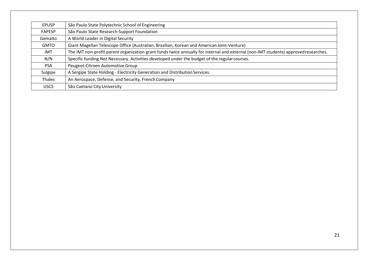| <b>EPUSP</b>  | São Paulo State Polytechnic School of Engineering                                                                                   |
|---------------|-------------------------------------------------------------------------------------------------------------------------------------|
| <b>FAPESP</b> | São Paulo State Research-Support Foundation                                                                                         |
| Gemalto       | A World Leader in Digital Security                                                                                                  |
| <b>GMTO</b>   | Giant Magellan Telescope Office (Australian, Brazilian, Korean and American Joint-Venture)                                          |
| IMT           | The IMT non-profit parent organization grant funds twice annually for internal and external (non-IMT students) approved researches. |
| N/N           | Specific funding Not Necessary. Activities developed under the budget of the regular courses.                                       |
| <b>PSA</b>    | Peugeot-Citroen Automotive Group                                                                                                    |
| Sulgipe       | A Sergipe State Holding - Electricity Generation and Distribution Services.                                                         |
| Thales        | An Aerospace, Defense, and Security, French Company                                                                                 |
| <b>USCS</b>   | São Caetano City University                                                                                                         |